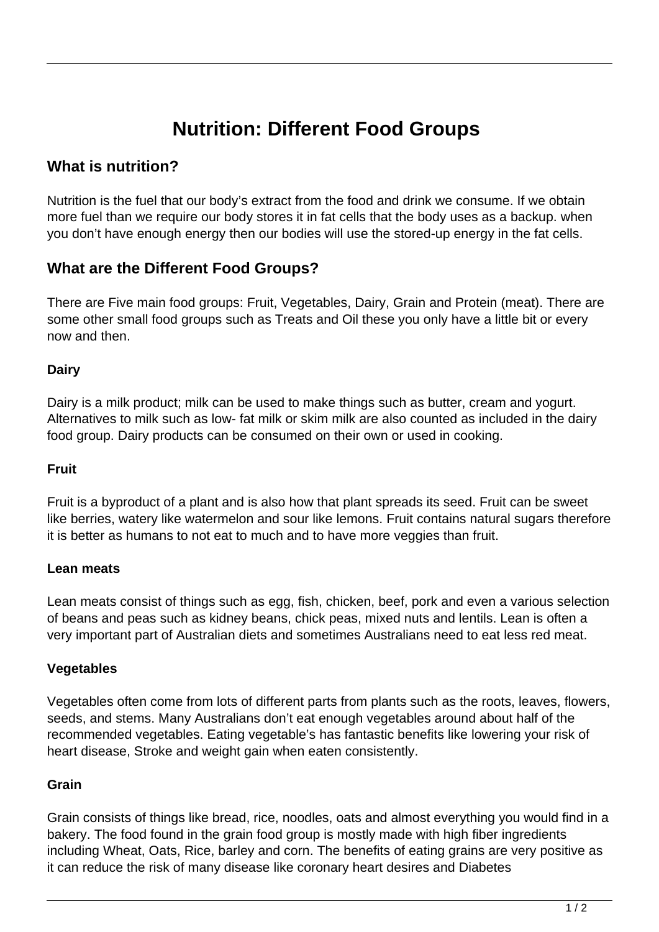# **Nutrition: Different Food Groups**

## **What is nutrition?**

Nutrition is the fuel that our body's extract from the food and drink we consume. If we obtain more fuel than we require our body stores it in fat cells that the body uses as a backup. when you don't have enough energy then our bodies will use the stored-up energy in the fat cells.

## **What are the Different Food Groups?**

There are Five main food groups: Fruit, Vegetables, Dairy, Grain and Protein (meat). There are some other small food groups such as Treats and Oil these you only have a little bit or every now and then.

#### **Dairy**

Dairy is a milk product; milk can be used to make things such as butter, cream and yogurt. Alternatives to milk such as low- fat milk or skim milk are also counted as included in the dairy food group. Dairy products can be consumed on their own or used in cooking.

#### **Fruit**

Fruit is a byproduct of a plant and is also how that plant spreads its seed. Fruit can be sweet like berries, watery like watermelon and sour like lemons. Fruit contains natural sugars therefore it is better as humans to not eat to much and to have more veggies than fruit.

#### **Lean meats**

Lean meats consist of things such as egg, fish, chicken, beef, pork and even a various selection of beans and peas such as kidney beans, chick peas, mixed nuts and lentils. Lean is often a very important part of Australian diets and sometimes Australians need to eat less red meat.

#### **Vegetables**

Vegetables often come from lots of different parts from plants such as the roots, leaves, flowers, seeds, and stems. Many Australians don't eat enough vegetables around about half of the recommended vegetables. Eating vegetable's has fantastic benefits like lowering your risk of heart disease, Stroke and weight gain when eaten consistently.

#### **Grain**

Grain consists of things like bread, rice, noodles, oats and almost everything you would find in a bakery. The food found in the grain food group is mostly made with high fiber ingredients including Wheat, Oats, Rice, barley and corn. The benefits of eating grains are very positive as it can reduce the risk of many disease like coronary heart desires and Diabetes